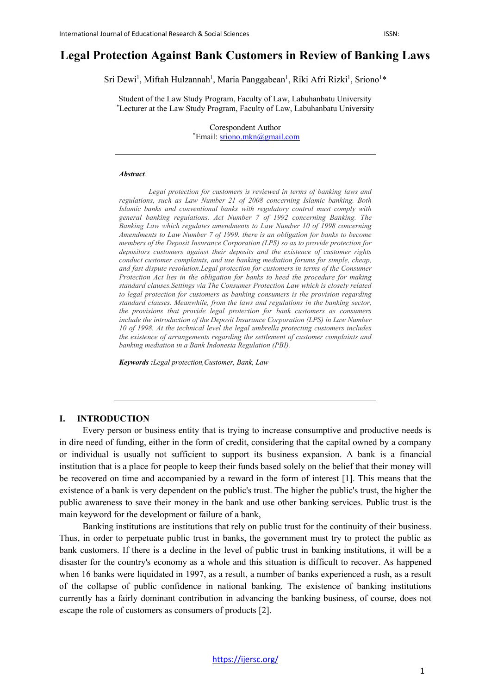# **Legal Protection Against Bank Customers in Review of Banking Laws**

Sri Dewi<sup>1</sup>, Miftah Hulzannah<sup>1</sup>, Maria Panggabean<sup>1</sup>, Riki Afri Rizki<sup>1</sup>, Sriono<sup>1\*</sup>

Student of the Law Study Program, Faculty of Law, Labuhanbatu University \* Lecturer at the Law Study Program, Faculty of Law, Labuhanbatu University

> Corespondent Author \* Email[: sriono.mkn@gmail.com](mailto:sriono.mkn@gmail.com)

#### *Abstract.*

*Legal protection for customers is reviewed in terms of banking laws and regulations, such as Law Number 21 of 2008 concerning Islamic banking. Both Islamic banks and conventional banks with regulatory control must comply with general banking regulations. Act Number 7 of 1992 concerning Banking. The Banking Law which regulates amendments to Law Number 10 of 1998 concerning Amendments to Law Number 7 of 1999. there is an obligation for banks to become members of the Deposit Insurance Corporation (LPS) so as to provide protection for depositors customers against their deposits and the existence of customer rights conduct customer complaints, and use banking mediation forums for simple, cheap, and fast dispute resolution.Legal protection for customers in terms of the Consumer Protection Act lies in the obligation for banks to heed the procedure for making standard clauses.Settings via The Consumer Protection Law which is closely related to legal protection for customers as banking consumers is the provision regarding standard clauses. Meanwhile, from the laws and regulations in the banking sector, the provisions that provide legal protection for bank customers as consumers include the introduction of the Deposit Insurance Corporation (LPS) in Law Number 10 of 1998. At the technical level the legal umbrella protecting customers includes the existence of arrangements regarding the settlement of customer complaints and banking mediation in a Bank Indonesia Regulation (PBI).*

*Keywords :Legal protection,Customer, Bank, Law*

### **I. INTRODUCTION**

Every person or business entity that is trying to increase consumptive and productive needs is in dire need of funding, either in the form of credit, considering that the capital owned by a company or individual is usually not sufficient to support its business expansion. A bank is a financial institution that is a place for people to keep their funds based solely on the belief that their money will be recovered on time and accompanied by a reward in the form of interest [1]. This means that the existence of a bank is very dependent on the public's trust. The higher the public's trust, the higher the public awareness to save their money in the bank and use other banking services. Public trust is the main keyword for the development or failure of a bank,

Banking institutions are institutions that rely on public trust for the continuity of their business. Thus, in order to perpetuate public trust in banks, the government must try to protect the public as bank customers. If there is a decline in the level of public trust in banking institutions, it will be a disaster for the country's economy as a whole and this situation is difficult to recover. As happened when 16 banks were liquidated in 1997, as a result, a number of banks experienced a rush, as a result of the collapse of public confidence in national banking. The existence of banking institutions currently has a fairly dominant contribution in advancing the banking business, of course, does not escape the role of customers as consumers of products [2].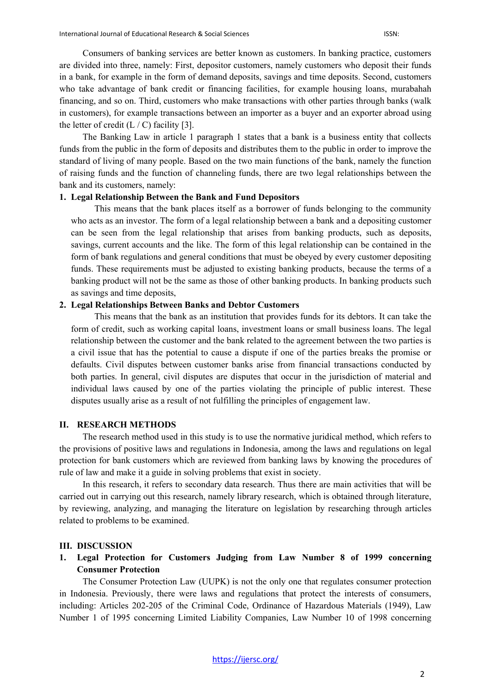Consumers of banking services are better known as customers. In banking practice, customers are divided into three, namely: First, depositor customers, namely customers who deposit their funds in a bank, for example in the form of demand deposits, savings and time deposits. Second, customers who take advantage of bank credit or financing facilities, for example housing loans, murabahah financing, and so on. Third, customers who make transactions with other parties through banks (walk in customers), for example transactions between an importer as a buyer and an exporter abroad using the letter of credit  $(L / C)$  facility [3].

The Banking Law in article 1 paragraph 1 states that a bank is a business entity that collects funds from the public in the form of deposits and distributes them to the public in order to improve the standard of living of many people. Based on the two main functions of the bank, namely the function of raising funds and the function of channeling funds, there are two legal relationships between the bank and its customers, namely:

# **1. Legal Relationship Between the Bank and Fund Depositors**

This means that the bank places itself as a borrower of funds belonging to the community who acts as an investor. The form of a legal relationship between a bank and a depositing customer can be seen from the legal relationship that arises from banking products, such as deposits, savings, current accounts and the like. The form of this legal relationship can be contained in the form of bank regulations and general conditions that must be obeyed by every customer depositing funds. These requirements must be adjusted to existing banking products, because the terms of a banking product will not be the same as those of other banking products. In banking products such as savings and time deposits,

### **2. Legal Relationships Between Banks and Debtor Customers**

This means that the bank as an institution that provides funds for its debtors. It can take the form of credit, such as working capital loans, investment loans or small business loans. The legal relationship between the customer and the bank related to the agreement between the two parties is a civil issue that has the potential to cause a dispute if one of the parties breaks the promise or defaults. Civil disputes between customer banks arise from financial transactions conducted by both parties. In general, civil disputes are disputes that occur in the jurisdiction of material and individual laws caused by one of the parties violating the principle of public interest. These disputes usually arise as a result of not fulfilling the principles of engagement law.

## **II. RESEARCH METHODS**

The research method used in this study is to use the normative juridical method, which refers to the provisions of positive laws and regulations in Indonesia, among the laws and regulations on legal protection for bank customers which are reviewed from banking laws by knowing the procedures of rule of law and make it a guide in solving problems that exist in society.

In this research, it refers to secondary data research. Thus there are main activities that will be carried out in carrying out this research, namely library research, which is obtained through literature, by reviewing, analyzing, and managing the literature on legislation by researching through articles related to problems to be examined.

#### **III. DISCUSSION**

**1. Legal Protection for Customers Judging from Law Number 8 of 1999 concerning Consumer Protection**

The Consumer Protection Law (UUPK) is not the only one that regulates consumer protection in Indonesia. Previously, there were laws and regulations that protect the interests of consumers, including: Articles 202-205 of the Criminal Code, Ordinance of Hazardous Materials (1949), Law Number 1 of 1995 concerning Limited Liability Companies, Law Number 10 of 1998 concerning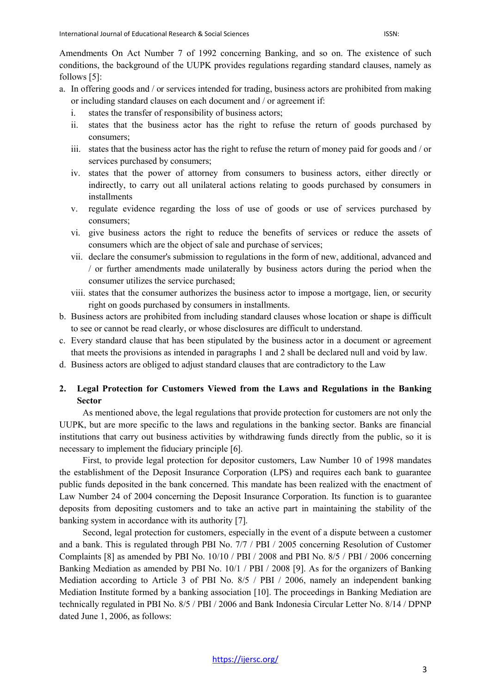Amendments On Act Number 7 of 1992 concerning Banking, and so on. The existence of such conditions, the background of the UUPK provides regulations regarding standard clauses, namely as follows [5]:

- a. In offering goods and / or services intended for trading, business actors are prohibited from making or including standard clauses on each document and / or agreement if:
	- i. states the transfer of responsibility of business actors;
	- ii. states that the business actor has the right to refuse the return of goods purchased by consumers;
	- iii. states that the business actor has the right to refuse the return of money paid for goods and / or services purchased by consumers;
	- iv. states that the power of attorney from consumers to business actors, either directly or indirectly, to carry out all unilateral actions relating to goods purchased by consumers in installments
	- v. regulate evidence regarding the loss of use of goods or use of services purchased by consumers;
	- vi. give business actors the right to reduce the benefits of services or reduce the assets of consumers which are the object of sale and purchase of services;
	- vii. declare the consumer's submission to regulations in the form of new, additional, advanced and / or further amendments made unilaterally by business actors during the period when the consumer utilizes the service purchased;
	- viii. states that the consumer authorizes the business actor to impose a mortgage, lien, or security right on goods purchased by consumers in installments.
- b. Business actors are prohibited from including standard clauses whose location or shape is difficult to see or cannot be read clearly, or whose disclosures are difficult to understand.
- c. Every standard clause that has been stipulated by the business actor in a document or agreement that meets the provisions as intended in paragraphs 1 and 2 shall be declared null and void by law.
- d. Business actors are obliged to adjust standard clauses that are contradictory to the Law

# **2. Legal Protection for Customers Viewed from the Laws and Regulations in the Banking Sector**

As mentioned above, the legal regulations that provide protection for customers are not only the UUPK, but are more specific to the laws and regulations in the banking sector. Banks are financial institutions that carry out business activities by withdrawing funds directly from the public, so it is necessary to implement the fiduciary principle [6].

First, to provide legal protection for depositor customers, Law Number 10 of 1998 mandates the establishment of the Deposit Insurance Corporation (LPS) and requires each bank to guarantee public funds deposited in the bank concerned. This mandate has been realized with the enactment of Law Number 24 of 2004 concerning the Deposit Insurance Corporation. Its function is to guarantee deposits from depositing customers and to take an active part in maintaining the stability of the banking system in accordance with its authority [7].

Second, legal protection for customers, especially in the event of a dispute between a customer and a bank. This is regulated through PBI No. 7/7 / PBI / 2005 concerning Resolution of Customer Complaints [8] as amended by PBI No. 10/10 / PBI / 2008 and PBI No. 8/5 / PBI / 2006 concerning Banking Mediation as amended by PBI No. 10/1 / PBI / 2008 [9]. As for the organizers of Banking Mediation according to Article 3 of PBI No. 8/5 / PBI / 2006, namely an independent banking Mediation Institute formed by a banking association [10]. The proceedings in Banking Mediation are technically regulated in PBI No. 8/5 / PBI / 2006 and Bank Indonesia Circular Letter No. 8/14 / DPNP dated June 1, 2006, as follows: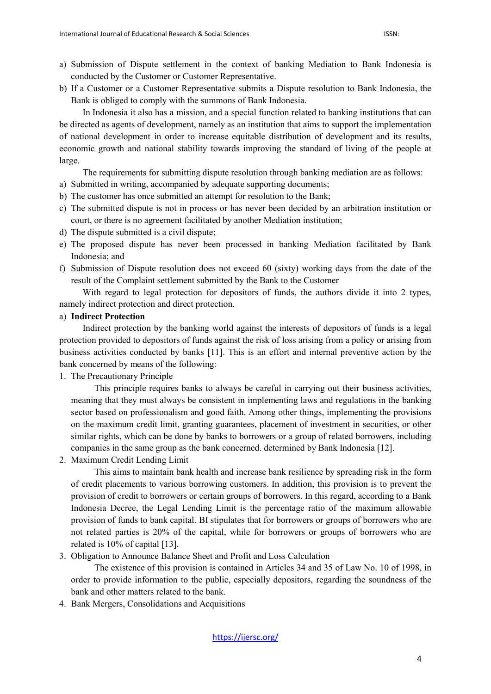- a) Submission of Dispute settlement in the context of banking Mediation to Bank Indonesia is conducted by the Customer or Customer Representative.
- b) If a Customer or a Customer Representative submits a Dispute resolution to Bank Indonesia, the Bank is obliged to comply with the summons of Bank Indonesia.

In Indonesia it also has a mission, and a special function related to banking institutions that can be directed as agents of development, namely as an institution that aims to support the implementation of national development in order to increase equitable distribution of development and its results, economic growth and national stability towards improving the standard of living of the people at large.

The requirements for submitting dispute resolution through banking mediation are as follows:

- a) Submitted in writing, accompanied by adequate supporting documents;
- b) The customer has once submitted an attempt for resolution to the Bank;
- c) The submitted dispute is not in process or has never been decided by an arbitration institution or court, or there is no agreement facilitated by another Mediation institution;
- d) The dispute submitted is a civil dispute;
- e) The proposed dispute has never been processed in banking Mediation facilitated by Bank Indonesia; and
- f) Submission of Dispute resolution does not exceed 60 (sixty) working days from the date of the result of the Complaint settlement submitted by the Bank to the Customer

With regard to legal protection for depositors of funds, the authors divide it into 2 types, namely indirect protection and direct protection.

# a) **Indirect Protection**

Indirect protection by the banking world against the interests of depositors of funds is a legal protection provided to depositors of funds against the risk of loss arising from a policy or arising from business activities conducted by banks [11]. This is an effort and internal preventive action by the bank concerned by means of the following:

1. The Precautionary Principle

This principle requires banks to always be careful in carrying out their business activities, meaning that they must always be consistent in implementing laws and regulations in the banking sector based on professionalism and good faith. Among other things, implementing the provisions on the maximum credit limit, granting guarantees, placement of investment in securities, or other similar rights, which can be done by banks to borrowers or a group of related borrowers, including companies in the same group as the bank concerned. determined by Bank Indonesia [12].

2. Maximum Credit Lending Limit

This aims to maintain bank health and increase bank resilience by spreading risk in the form of credit placements to various borrowing customers. In addition, this provision is to prevent the provision of credit to borrowers or certain groups of borrowers. In this regard, according to a Bank Indonesia Decree, the Legal Lending Limit is the percentage ratio of the maximum allowable provision of funds to bank capital. BI stipulates that for borrowers or groups of borrowers who are not related parties is 20% of the capital, while for borrowers or groups of borrowers who are related is 10% of capital [13].

3. Obligation to Announce Balance Sheet and Profit and Loss Calculation

The existence of this provision is contained in Articles 34 and 35 of Law No. 10 of 1998, in order to provide information to the public, especially depositors, regarding the soundness of the bank and other matters related to the bank.

4. Bank Mergers, Consolidations and Acquisitions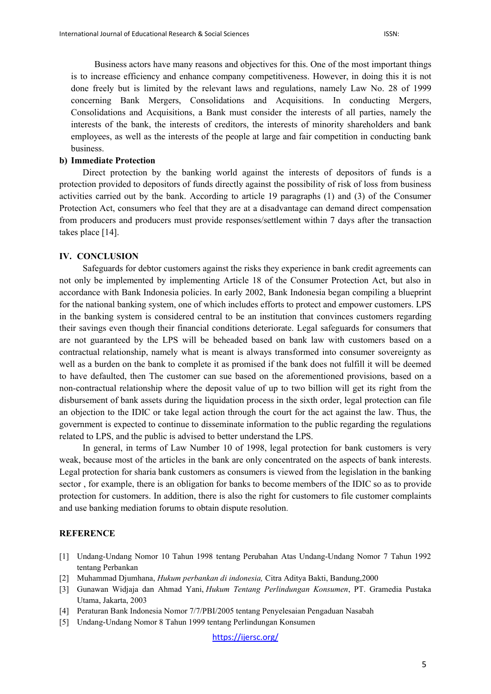Business actors have many reasons and objectives for this. One of the most important things is to increase efficiency and enhance company competitiveness. However, in doing this it is not done freely but is limited by the relevant laws and regulations, namely Law No. 28 of 1999 concerning Bank Mergers, Consolidations and Acquisitions. In conducting Mergers, Consolidations and Acquisitions, a Bank must consider the interests of all parties, namely the interests of the bank, the interests of creditors, the interests of minority shareholders and bank employees, as well as the interests of the people at large and fair competition in conducting bank business.

### **b) Immediate Protection**

Direct protection by the banking world against the interests of depositors of funds is a protection provided to depositors of funds directly against the possibility of risk of loss from business activities carried out by the bank. According to article 19 paragraphs (1) and (3) of the Consumer Protection Act, consumers who feel that they are at a disadvantage can demand direct compensation from producers and producers must provide responses/settlement within 7 days after the transaction takes place [14].

### **IV. CONCLUSION**

Safeguards for debtor customers against the risks they experience in bank credit agreements can not only be implemented by implementing Article 18 of the Consumer Protection Act, but also in accordance with Bank Indonesia policies. In early 2002, Bank Indonesia began compiling a blueprint for the national banking system, one of which includes efforts to protect and empower customers. LPS in the banking system is considered central to be an institution that convinces customers regarding their savings even though their financial conditions deteriorate. Legal safeguards for consumers that are not guaranteed by the LPS will be beheaded based on bank law with customers based on a contractual relationship, namely what is meant is always transformed into consumer sovereignty as well as a burden on the bank to complete it as promised if the bank does not fulfill it will be deemed to have defaulted, then The customer can sue based on the aforementioned provisions, based on a non-contractual relationship where the deposit value of up to two billion will get its right from the disbursement of bank assets during the liquidation process in the sixth order, legal protection can file an objection to the IDIC or take legal action through the court for the act against the law. Thus, the government is expected to continue to disseminate information to the public regarding the regulations related to LPS, and the public is advised to better understand the LPS.

In general, in terms of Law Number 10 of 1998, legal protection for bank customers is very weak, because most of the articles in the bank are only concentrated on the aspects of bank interests. Legal protection for sharia bank customers as consumers is viewed from the legislation in the banking sector , for example, there is an obligation for banks to become members of the IDIC so as to provide protection for customers. In addition, there is also the right for customers to file customer complaints and use banking mediation forums to obtain dispute resolution.

#### **REFERENCE**

- [1] Undang-Undang Nomor 10 Tahun 1998 tentang Perubahan Atas Undang-Undang Nomor 7 Tahun 1992 tentang Perbankan
- [2] Muhammad Djumhana, *Hukum perbankan di indonesia,* Citra Aditya Bakti, Bandung,2000
- [3] Gunawan Widjaja dan Ahmad Yani, *Hukum Tentang Perlindungan Konsumen*, PT. Gramedia Pustaka Utama, Jakarta, 2003
- [4] Peraturan Bank Indonesia Nomor 7/7/PBI/2005 tentang Penyelesaian Pengaduan Nasabah
- [5] Undang-Undang Nomor 8 Tahun 1999 tentang Perlindungan Konsumen

<https://ijersc.org/>